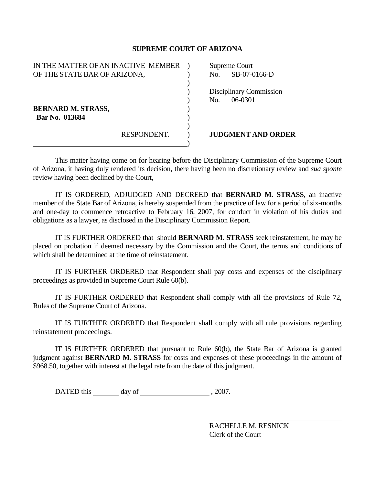## **SUPREME COURT OF ARIZONA**

| IN THE MATTER OF AN INACTIVE MEMBER |             | Supreme Court    |                   |
|-------------------------------------|-------------|------------------|-------------------|
| OF THE STATE BAR OF ARIZONA,        |             | No.              | $SB-07-0$         |
|                                     |             |                  |                   |
|                                     |             | Disciplinary Cor |                   |
|                                     |             | No.              | 06-0301           |
| <b>BERNARD M. STRASS,</b>           |             |                  |                   |
| Bar No. 013684                      |             |                  |                   |
|                                     |             |                  |                   |
|                                     | RESPONDENT. |                  | <b>JUDGMENT A</b> |
|                                     |             |                  |                   |

eme Court SB-07-0166-D

plinary Commission

**GMENT AND ORDER** 

 This matter having come on for hearing before the Disciplinary Commission of the Supreme Court of Arizona, it having duly rendered its decision, there having been no discretionary review and *sua sponte* review having been declined by the Court,

 IT IS ORDERED, ADJUDGED AND DECREED that **BERNARD M. STRASS**, an inactive member of the State Bar of Arizona, is hereby suspended from the practice of law for a period of six-months and one-day to commence retroactive to February 16, 2007, for conduct in violation of his duties and obligations as a lawyer, as disclosed in the Disciplinary Commission Report.

 IT IS FURTHER ORDERED that should **BERNARD M. STRASS** seek reinstatement, he may be placed on probation if deemed necessary by the Commission and the Court, the terms and conditions of which shall be determined at the time of reinstatement.

 IT IS FURTHER ORDERED that Respondent shall pay costs and expenses of the disciplinary proceedings as provided in Supreme Court Rule 60(b).

 IT IS FURTHER ORDERED that Respondent shall comply with all the provisions of Rule 72, Rules of the Supreme Court of Arizona.

 IT IS FURTHER ORDERED that Respondent shall comply with all rule provisions regarding reinstatement proceedings.

 IT IS FURTHER ORDERED that pursuant to Rule 60(b), the State Bar of Arizona is granted judgment against **BERNARD M. STRASS** for costs and expenses of these proceedings in the amount of \$968.50, together with interest at the legal rate from the date of this judgment.

DATED this day of , 2007.

 RACHELLE M. RESNICK Clerk of the Court